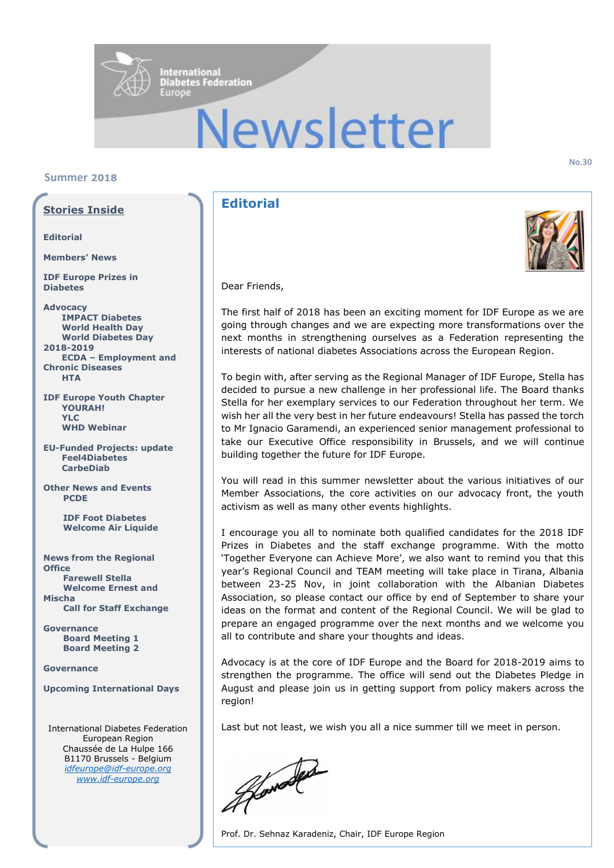

# Newsletter

# **Summer 2018**

# **Stories Inside**

#### **Editorial**

**Members' News**

**IDF Europe Prizes in Diabetes** 

**Advocacy IMPACT Diabetes World Health Day World Diabetes Day 2018-2019 ECDA – Employment and Chronic Diseases HTA** 

**IDF Europe Youth Chapter YOURAH! YLC WHD Webinar**

**EU-Funded Projects: update Feel4Diabetes CarbeDiab**

**Other News and Events PCDE** 

> **IDF Foot Diabetes Welcome Air Liquide**

**News from the Regional Office Farewell Stella Welcome Ernest and Mischa Call for Staff Exchange**

**Governance Board Meeting 1 Board Meeting 2**

#### **Governance**

#### **Upcoming International Days**

International Diabetes Federation European Region Chaussée de La Hulpe 166 B1170 Brussels - Belgium *[idfeurope@idf-europe.org](mailto:idfeurope@idf-europe.org) [www.idf-europe.org](http://www.idf-europe.org/)*

# **Editorial**



Dear Friends,

The first half of 2018 has been an exciting moment for IDF Europe as we are going through changes and we are expecting more transformations over the next months in strengthening ourselves as a Federation representing the interests of national diabetes Associations across the European Region.

To begin with, after serving as the Regional Manager of IDF Europe, Stella has decided to pursue a new challenge in her professional life. The Board thanks Stella for her exemplary services to our Federation throughout her term. We wish her all the very best in her future endeavours! Stella has passed the torch to Mr Ignacio Garamendi, an experienced senior management professional to take our Executive Office responsibility in Brussels, and we will continue building together the future for IDF Europe.

You will read in this summer newsletter about the various initiatives of our Member Associations, the core activities on our advocacy front, the youth activism as well as many other events highlights.

I encourage you all to nominate both qualified candidates for the 2018 IDF Prizes in Diabetes and the staff exchange programme. With the motto 'Together Everyone can Achieve More', we also want to remind you that this year's Regional Council and TEAM meeting will take place in Tirana, Albania between 23-25 Nov, in joint collaboration with the Albanian Diabetes Association, so please contact our office by end of September to share your ideas on the format and content of the Regional Council. We will be glad to prepare an engaged programme over the next months and we welcome you all to contribute and share your thoughts and ideas.

Advocacy is at the core of IDF Europe and the Board for 2018-2019 aims to strengthen the programme. The office will send out the Diabetes Pledge in August and please join us in getting support from policy makers across the region!

Last but not least, we wish you all a nice summer till we meet in person.

Howard

Prof. Dr. Sehnaz Karadeniz, Chair, IDF Europe Region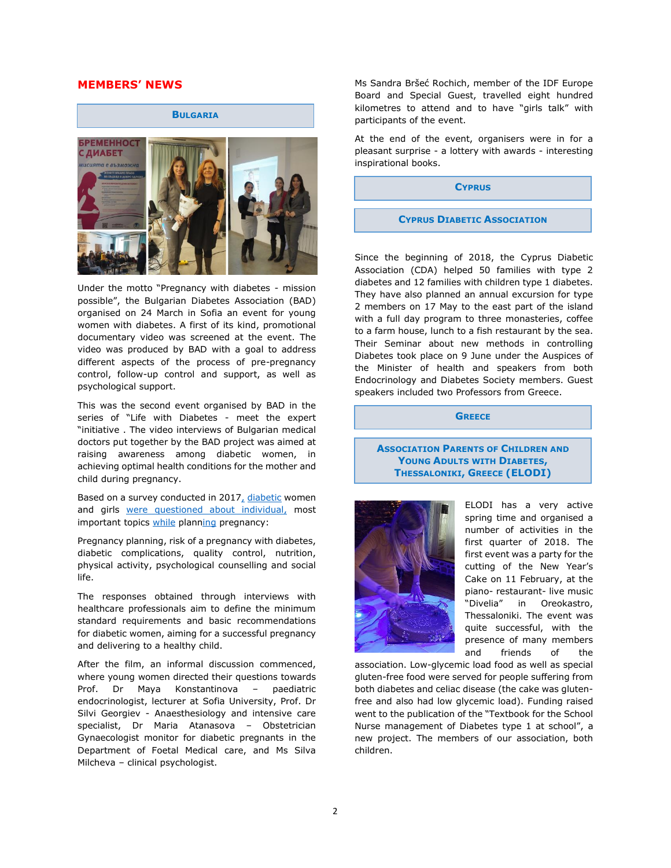# **MEMBERS' NEWS**



Under the motto "Pregnancy with diabetes - mission possible", the Bulgarian Diabetes Association (BAD) organised on 24 March in Sofia an event for young women with diabetes. A first of its kind, promotional documentary video was screened at the event. The video was produced by BAD with a goal to address different aspects of the process of pre-pregnancy control, follow-up control and support, as well as psychological support.

This was the second event organised by BAD in the series of "Life with Diabetes - meet the expert "initiative . The video interviews of Bulgarian medical doctors put together by the BAD project was aimed at raising awareness among diabetic women, in achieving optimal health conditions for the mother and child during pregnancy.

Based on a survey conducted in 2017, diabetic women and girls were questioned about individual, most important topics while planning pregnancy:

Pregnancy planning, risk of a pregnancy with diabetes, diabetic complications, quality control, nutrition, physical activity, psychological counselling and social life.

The responses obtained through interviews with healthcare professionals aim to define the minimum standard requirements and basic recommendations for diabetic women, aiming for a successful pregnancy and delivering to a healthy child.

After the film, an informal discussion commenced, where young women directed their questions towards Prof. Dr Maya Konstantinova – paediatric endocrinologist, lecturer at Sofia University, Prof. Dr Silvi Georgiev - Anaesthesiology and intensive care specialist, Dr Maria Atanasova – Obstetrician Gynaecologist monitor for diabetic pregnants in the Department of Foetal Medical care, and Ms Silva Milcheva – clinical psychologist.

Ms Sandra Bršeć Rochich, member of the IDF Europe Board and Special Guest, travelled eight hundred kilometres to attend and to have "girls talk" with participants of the event.

At the end of the event, organisers were in for a pleasant surprise - a lottery with awards - interesting inspirational books.

**CYPRUS**

#### **CYPRUS DIABETIC ASSOCIATION**

Since the beginning of 2018, the Cyprus Diabetic Association (CDA) helped 50 families with type 2 diabetes and 12 families with children type 1 diabetes. They have also planned an annual excursion for type 2 members on 17 May to the east part of the island with a full day program to three monasteries, coffee to a farm house, lunch to a fish restaurant by the sea. Their Seminar about new methods in controlling Diabetes took place on 9 June under the Auspices of the Minister of health and speakers from both Endocrinology and Diabetes Society members. Guest speakers included two Professors from Greece.

**GREECE**

#### **ASSOCIATION PARENTS OF CHILDREN AND YOUNG ADULTS WITH DIABETES, THESSALONIKI, GREECE (ELODI)**



ELODI has a very active spring time and organised a number of activities in the first quarter of 2018. The first event was a party for the cutting of the New Year's Cake on 11 February, at the piano- restaurant- live music "Divelia" in Oreokastro, Thessaloniki. The event was quite successful, with the presence of many members and friends of the

association. Low-glycemic load food as well as special gluten-free food were served for people suffering from both diabetes and celiac disease (the cake was glutenfree and also had low glycemic load). Funding raised went to the publication of the "Textbook for the School Nurse management of Diabetes type 1 at school", a new project. The members of our association, both children.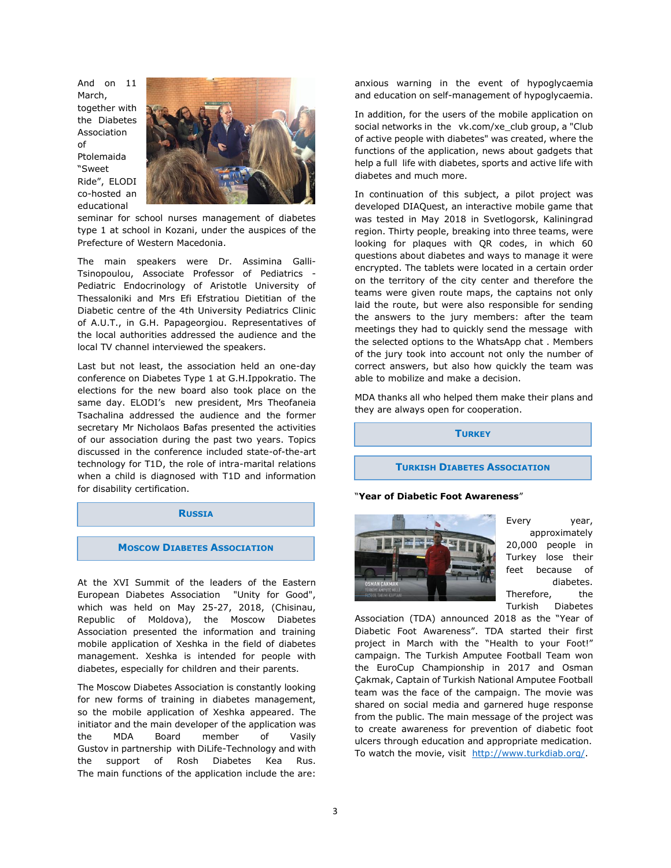And on 11 March, together with the Diabetes Association of Ptolemaida "Sweet Ride", ELODI co-hosted an educational



seminar for school nurses management of diabetes type 1 at school in Kozani, under the auspices of the Prefecture of Western Macedonia.

The main speakers were Dr. Assimina Galli-Tsinopoulou, Associate Professor of Pediatrics - Pediatric Endocrinology of Aristotle University of Thessaloniki and Mrs Efi Efstratiou Dietitian of the Diabetic centre of the 4th University Pediatrics Clinic of A.U.T., in G.H. Papageorgiou. Representatives of the local authorities addressed the audience and the local TV channel interviewed the speakers.

Last but not least, the association held an one-day conference on Diabetes Type 1 at G.H.Ippokratio. The elections for the new board also took place on the same day. ELODI's new president, Mrs Theofaneia Tsachalina addressed the audience and the former secretary Mr Nicholaos Bafas presented the activities of our association during the past two years. Topics discussed in the conference included state-of-the-art technology for T1D, the role of intra-marital relations when a child is diagnosed with T1D and information for disability certification.

#### **RUSSIA**

#### **MOSCOW DIABETES ASSOCIATION**

At the XVI Summit of the leaders of the Eastern European Diabetes Association "Unity for Good", which was held on May 25-27, 2018, (Chisinau, Republic of Moldova), the Moscow Diabetes Association presented the information and training mobile application of Хeshka in the field of diabetes management. Хeshka is intended for people with diabetes, especially for children and their parents.

The Moscow Diabetes Association is constantly looking for new forms of training in diabetes management, so the mobile application of Хeshka appeared. The initiator and the main developer of the application was the MDA Board member of Vasily Gustov in partnership with DiLife-Technology and with the support of Rosh Diabetes Kea Rus. The main functions of the application include the are:

anxious warning in the event of hypoglycaemia and education on self-management of hypoglycaemia.

In addition, for the users of the mobile application on social networks in the vk.com/xe\_club group, a "Club of active people with diabetes" was created, where the functions of the application, news about gadgets that help a full life with diabetes, sports and active life with diabetes and much more.

In continuation of this subject, a pilot project was developed DIAQuest, an interactive mobile game that was tested in May 2018 in Svetlogorsk, Kaliningrad region. Thirty people, breaking into three teams, were looking for plaques with QR codes, in which 60 questions about diabetes and ways to manage it were encrypted. The tablets were located in a certain order on the territory of the city center and therefore the teams were given route maps, the captains not only laid the route, but were also responsible for sending the answers to the jury members: after the team meetings they had to quickly send the message with the selected options to the WhatsApp chat . Members of the jury took into account not only the number of correct answers, but also how quickly the team was able to mobilize and make a decision.

MDA thanks all who helped them make their plans and they are always open for cooperation.

#### **TURKEY**

#### **TURKISH DIABETES ASSOCIATION**

#### "**Year of Diabetic Foot Awareness**"



Every year, approximately 20,000 people in Turkey lose their feet because of diabetes. Therefore, the Turkish Diabetes

Association (TDA) announced 2018 as the "Year of Diabetic Foot Awareness". TDA started their first project in March with the "Health to your Foot!" campaign. The Turkish Amputee Football Team won the EuroCup Championship in 2017 and Osman Çakmak, Captain of Turkish National Amputee Football team was the face of the campaign. The movie was shared on social media and garnered huge response from the public. The main message of the project was to create awareness for prevention of diabetic foot ulcers through education and appropriate medication. To watch the movie, visit http://www.turkdiab.org/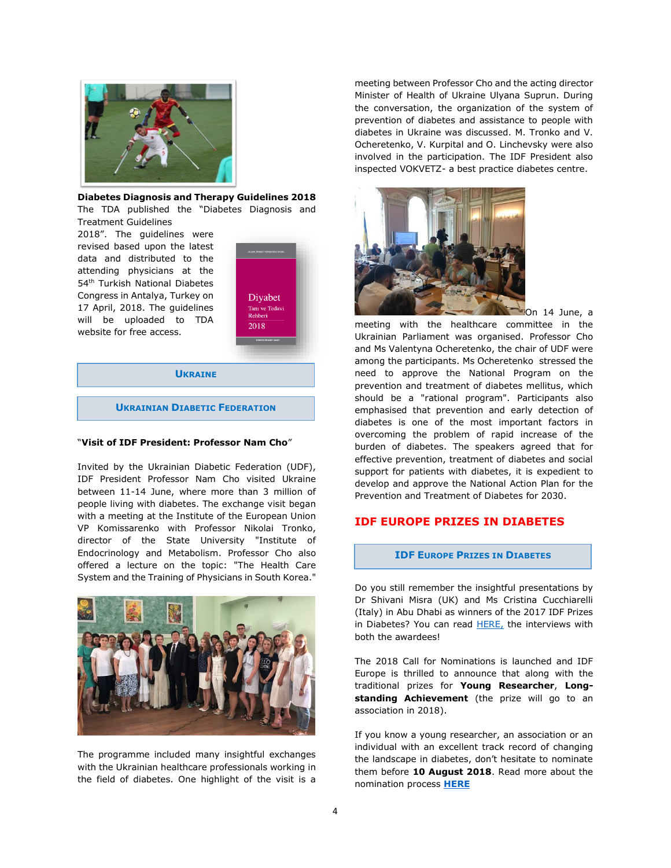

**Diabetes Diagnosis and Therapy Guidelines 2018**  The TDA published the "Diabetes Diagnosis and

Treatment Guidelines

2018". The guidelines were revised based upon the latest data and distributed to the attending physicians at the 54<sup>th</sup> Turkish National Diabetes Congress in Antalya, Turkey on 17 April, 2018. The guidelines will be uploaded to TDA website for free access.



**UKRAINE**

**UKRAINIAN DIABETIC FEDERATION**

#### "**Visit of IDF President: Professor Nam Cho**"

Invited by the Ukrainian Diabetic Federation (UDF), IDF President Professor Nam Cho visited Ukraine between 11-14 June, where more than 3 million of people living with diabetes. The exchange visit began with a meeting at the Institute of the European Union VP Komissarenko with Professor Nikolai Tronko, director of the State University "Institute of Endocrinology and Metabolism. Professor Cho also offered a lecture on the topic: "The Health Care System and the Training of Physicians in South Korea."



The programme included many insightful exchanges with the Ukrainian healthcare professionals working in the field of diabetes. One highlight of the visit is a

meeting between Professor Cho and the acting director Minister of Health of Ukraine Ulyana Suprun. During the conversation, the organization of the system of prevention of diabetes and assistance to people with diabetes in Ukraine was discussed. M. Tronko and V. Ocheretenko, V. Kurpital and O. Linchevsky were also involved in the participation. The IDF President also inspected VOKVETZ- a best practice diabetes centre.



On 14 June, a

meeting with the healthcare committee in the Ukrainian Parliament was organised. Professor Cho and Ms Valentynа Oсheretenko, the chair of UDF were among the participants. Ms Ocheretenko stressed the need to approve the National Program on the prevention and treatment of diabetes mellitus, which should be a "rational program". Participants also emphasised that prevention and early detection of diabetes is one of the most important factors in overcoming the problem of rapid increase of the burden of diabetes. The speakers agreed that for effective prevention, treatment of diabetes and social support for patients with diabetes, it is expedient to develop and approve the National Action Plan for the Prevention and Treatment of Diabetes for 2030.

# **IDF EUROPE PRIZES IN DIABETES**

#### **IDF EUROPE PRIZES IN DIABETES**

Do you still remember the insightful presentations by Dr Shivani Misra (UK) and Ms Cristina Cucchiarelli (Italy) in Abu Dhabi as winners of the 2017 IDF Prizes in Diabetes? You can read **HERE**, the interviews with both the awardees!

The 2018 Call for Nominations is launched and IDF Europe is thrilled to announce that along with the traditional prizes for **Young Researcher**, **Long**standing Achievement (the prize will go to an association in 2018).

If you know a young researcher, an association or an individual with an excellent track record of changing the landscape in diabetes, don't hesitate to nominate them before **10 August 2018**. Read more about the nomination process **[HERE](https://www.idf.org/our-network/regions-members/europe/mobilising-for-diabetes/idf-europe-prizes.html)**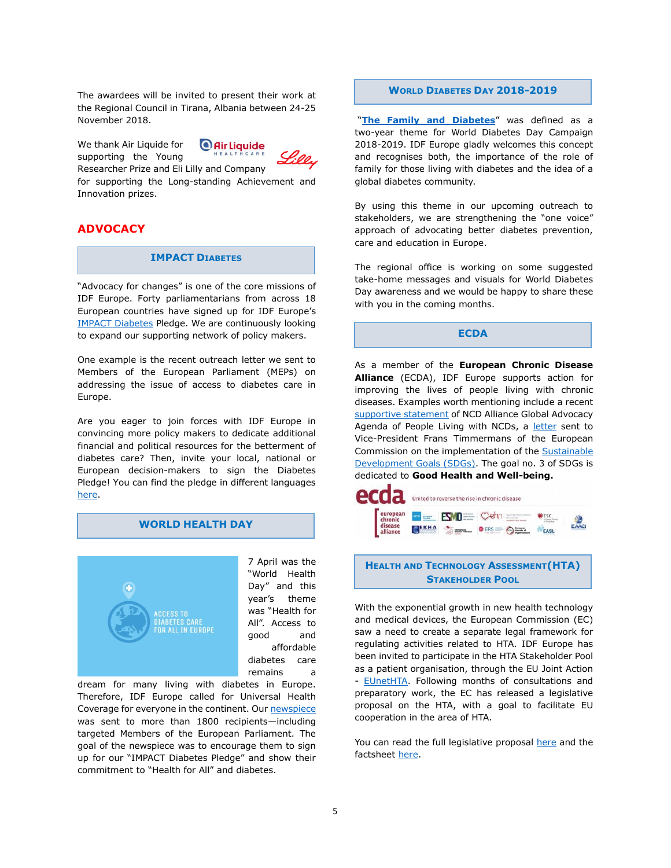The awardees will be invited to present their work at the Regional Council in Tirana, Albania between 24-25 November 2018.

We thank Air Liquide for supporting the Young



Researcher Prize and Eli Lilly and Company for supporting the Long-standing Achievement and Innovation prizes.

# **ADVOCACY**

#### **IMPACT DIABETES**

"Advocacy for changes" is one of the core missions of IDF Europe. Forty parliamentarians from across 18 European countries have signed up for IDF Europe's [IMPACT Diabetes](https://www.idf.org/our-network/regions-members/europe/mobilising-for-diabetes/impact-diabetes.html?view=mobiles®ion_id=7&content_id=24) Pledge. We are continuously looking to expand our supporting network of policy makers.

One example is the recent outreach letter we sent to Members of the European Parliament (MEPs) on addressing the issue of access to diabetes care in Europe.

Are you eager to join forces with IDF Europe in convincing more policy makers to dedicate additional financial and political resources for the betterment of diabetes care? Then, invite your local, national or European decision-makers to sign the Diabetes Pledge! You can find the pledge in different languages [here.](https://www.idf.org/our-network/regions-members/europe/mobilising-for-diabetes/impact-diabetes.html?view=mobiles®ion_id=7&content_id=25)

# **WORLD HEALTH DAY**



dream for many living with diabetes in Europe. Therefore, IDF Europe called for Universal Health Coverage for everyone in the continent. Our [newspiece](https://www.idf.org/our-network/regions-members/europe/europe-news/95-7-april-2018-world-health-day.html) was sent to more than 1800 recipients—including targeted Members of the European Parliament. The goal of the newspiece was to encourage them to sign up for our "IMPACT Diabetes Pledge" and show their commitment to "Health for All" and diabetes.

#### **WORLD DIABETES DAY 2018-2019**

"**[The Family and](https://www.idf.org/our-activities/world-diabetes-day.html) Diabetes**" was defined as a two-year theme for World Diabetes Day Campaign 2018-2019. IDF Europe gladly welcomes this concept and recognises both, the importance of the role of family for those living with diabetes and the idea of a global diabetes community.

By using this theme in our upcoming outreach to stakeholders, we are strengthening the "one voice" approach of advocating better diabetes prevention, care and education in Europe.

The regional office is working on some suggested take-home messages and visuals for World Diabetes Day awareness and we would be happy to share these with you in the coming months.

# **ECDA**

As a member of the **European Chronic Disease Alliance** (ECDA), IDF Europe supports action for improving the lives of people living with chronic diseases. Examples worth mentioning include a recent [supportive statement](http://www.alliancechronicdiseases.org/fileadmin/user_upload/ECDA_supportive_statement_to_NCD_Alliance_Global_Advocacy_Agenda.pdf) of NCD Alliance Global Advocacy Agenda of People Living with NCDs, a [letter](http://www.alliancechronicdiseases.org/fileadmin/user_upload/Letter_to_First_Vice-President_Timmermans_on_SDGs_and_health_in_the_MSP.pdf) sent to Vice-President Frans Timmermans of the European Commission on the implementation of the Sustainable [Development Goals \(SDGs\).](https://sustainabledevelopment.un.org/sdgs) The goal no. 3 of SDGs is dedicated to **Good Health and Well-being.** 



# **HEALTH AND TECHNOLOGY ASSESSMENT(HTA) STAKEHOLDER POOL**

With the exponential growth in new health technology and medical devices, the European Commission (EC) saw a need to create a separate legal framework for regulating activities related to HTA. IDF Europe has been invited to participate in the HTA Stakeholder Pool as a patient organisation, through the EU Joint Action - **EUnetHTA**. Following months of consultations and preparatory work, the EC has released a legislative proposal on the HTA, with a goal to facilitate EU cooperation in the area of HTA.

You can read the full legislative proposal [here](https://ec.europa.eu/health/sites/health/files/technology_assessment/docs/com2018_51_en.pdf) and the factsheet [here.](http://europa.eu/rapid/press-release_MEMO-18-487_en.htm)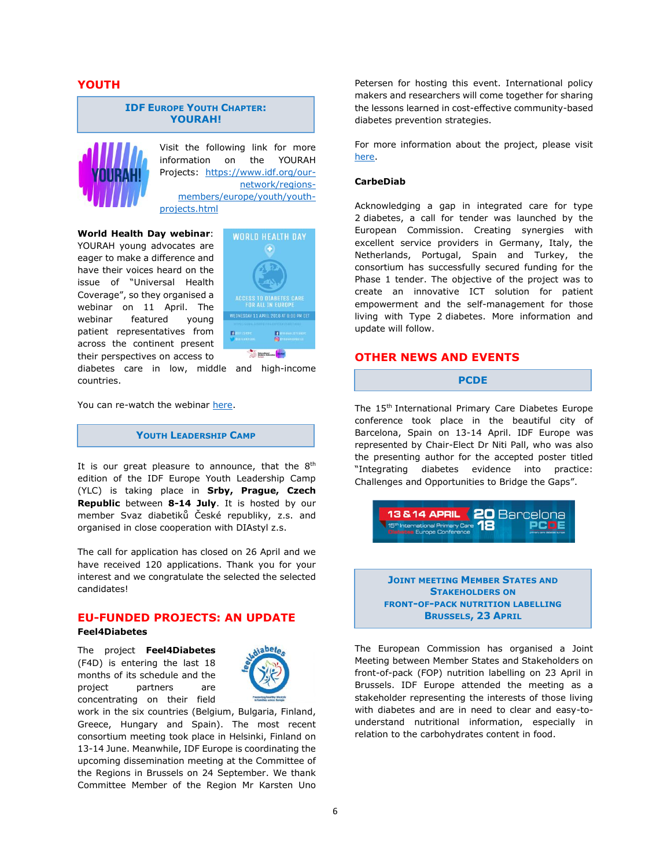# **YOUTH**

#### **IDF EUROPE YOUTH CHAPTER: YOURAH!**



Visit the following link for more information on the YOURAH Projects: [https://www.idf.org/our](https://www.idf.org/our-network/regions-members/europe/youth/youth-projects.html)[network/regions](https://www.idf.org/our-network/regions-members/europe/youth/youth-projects.html)[members/europe/youth/youth](https://www.idf.org/our-network/regions-members/europe/youth/youth-projects.html)[projects.html](https://www.idf.org/our-network/regions-members/europe/youth/youth-projects.html)

**World Health Day webinar**: YOURAH young advocates are eager to make a difference and have their voices heard on the issue of "Universal Health Coverage", so they organised a webinar on 11 April. The webinar featured young patient representatives from across the continent present their perspectives on access to



diabetes care in low, middle and high-income countries.

You can re-watch the webinar [here.](https://www.youtube.com/watch?v=ZHZJEe386XI)

### **YOUTH LEADERSHIP CAMP**

It is our great pleasure to announce, that the  $8<sup>th</sup>$ edition of the IDF Europe Youth Leadership Camp (YLC) is taking place in **Srby, Prague, Czech Republic** between **8-14 July**. It is hosted by our member Svaz diabetiků České republiky, z.s. and organised in close cooperation with DIAstyl z.s.

The call for application has closed on 26 April and we have received 120 applications. Thank you for your interest and we congratulate the selected the selected candidates!

# **EU-FUNDED PROJECTS: AN UPDATE**

#### **Feel4Diabetes**

The project **Feel4Diabetes** (F4D) is entering the last 18 months of its schedule and the project partners are concentrating on their field



work in the six countries (Belgium, Bulgaria, Finland, Greece, Hungary and Spain). The most recent consortium meeting took place in Helsinki, Finland on 13-14 June. Meanwhile, IDF Europe is coordinating the upcoming dissemination meeting at the Committee of the Regions in Brussels on 24 September. We thank Committee Member of the Region Mr Karsten Uno

Petersen for hosting this event. International policy makers and researchers will come together for sharing the lessons learned in cost-effective community-based diabetes prevention strategies.

For more information about the project, please visit [here.](https://www.idf.org/our-network/regions-members/europe/eu-research-projects/8-feel4diabetes.html)

#### **CarbeDiab**

Acknowledging a gap in integrated care for type 2 diabetes, a call for tender was launched by the European Commission. Creating synergies with excellent service providers in Germany, Italy, the Netherlands, Portugal, Spain and Turkey, the consortium has successfully secured funding for the Phase 1 tender. The objective of the project was to create an innovative ICT solution for patient empowerment and the self-management for those living with Type 2 diabetes. More information and update will follow.

# **OTHER NEWS AND EVENTS**

#### **PCDE**

The 15th International Primary Care Diabetes Europe conference took place in the beautiful city of Barcelona, Spain on 13-14 April. IDF Europe was represented by Chair-Elect Dr Niti Pall, who was also the presenting author for the accepted poster titled "Integrating diabetes evidence into practice: Challenges and Opportunities to Bridge the Gaps".



**JOINT MEETING MEMBER STATES AND STAKEHOLDERS ON FRONT-OF-PACK NUTRITION LABELLING BRUSSELS, 23 APRIL** 

The European Commission has organised a Joint Meeting between Member States and Stakeholders on front-of-pack (FOP) nutrition labelling on 23 April in Brussels. IDF Europe attended the meeting as a stakeholder representing the interests of those living with diabetes and are in need to clear and easy-tounderstand nutritional information, especially in relation to the carbohydrates content in food.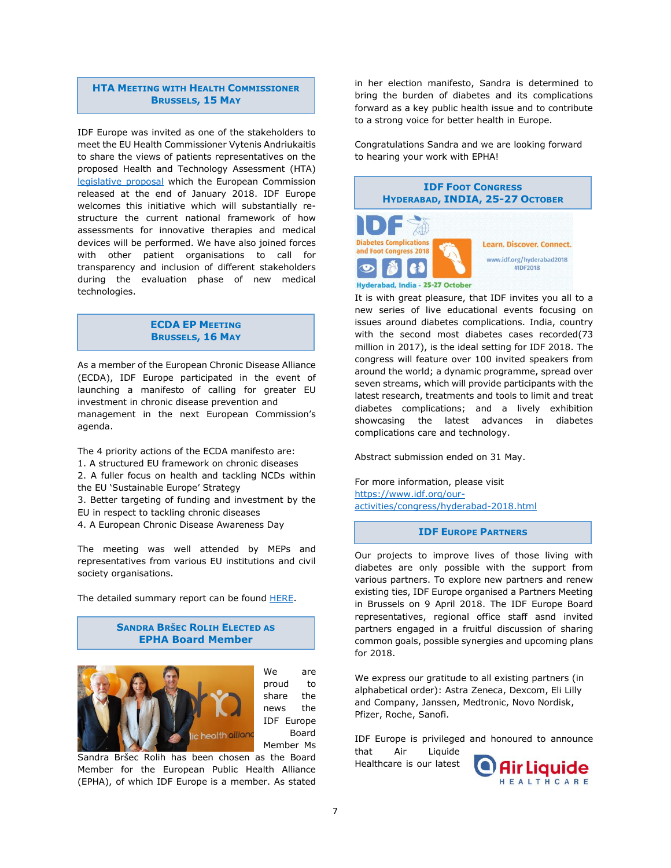# **HTA MEETING WITH HEALTH COMMISSIONER BRUSSELS, 15 MAY**

IDF Europe was invited as one of the stakeholders to meet the EU Health Commissioner Vytenis Andriukaitis to share the views of patients representatives on the proposed Health and Technology Assessment (HTA) [legislative proposal](https://ec.europa.eu/health/sites/health/files/technology_assessment/docs/com2018_51final_en.pdf) which the European Commission released at the end of January 2018. IDF Europe welcomes this initiative which will substantially restructure the current national framework of how assessments for innovative therapies and medical devices will be performed. We have also joined forces with other patient organisations to call for transparency and inclusion of different stakeholders during the evaluation phase of new medical technologies.

# **ECDA EP MEETING BRUSSELS, 16 MAY**

As a member of the European Chronic Disease Alliance (ECDA), IDF Europe participated in the event of launching a manifesto of calling for greater EU investment in chronic disease prevention and management in the next European Commission's agenda.

The 4 priority actions of the ECDA manifesto are: 1. A structured EU framework on chronic diseases 2. A fuller focus on health and tackling NCDs within the EU 'Sustainable Europe' Strategy

3. Better targeting of funding and investment by the EU in respect to tackling chronic diseases

4. A European Chronic Disease Awareness Day

The meeting was well attended by MEPs and representatives from various EU institutions and civil society organisations.

The detailed summary report can be found **HERE**.

#### **SANDRA BRŠEC ROLIH ELECTED AS EPHA Board Member**



We are proud to share the news the IDF Europe Board Member Ms

Sandra Bršec Rolih has been chosen as the Board Member for the European Public Health Alliance (EPHA), of which IDF Europe is a member. As stated

in her election manifesto, Sandra is determined to bring the burden of diabetes and its complications forward as a key public health issue and to contribute to a strong voice for better health in Europe.

Congratulations Sandra and we are looking forward to hearing your work with EPHA!



It is with great pleasure, that IDF invites you all to a new series of live educational events focusing on issues around diabetes complications. India, country with the second most diabetes cases recorded(73 million in 2017), is the ideal setting for IDF 2018. The congress will feature over 100 invited speakers from around the world; a dynamic programme, spread over seven streams, which will provide participants with the latest research, treatments and tools to limit and treat diabetes complications; and a lively exhibition showcasing the latest advances in diabetes complications care and technology.

Abstract submission ended on 31 May.

For more information, please visit [https://www.idf.org/our](https://www.idf.org/our-activities/congress/hyderabad-2018.html)[activities/congress/hyderabad-2018.html](https://www.idf.org/our-activities/congress/hyderabad-2018.html)

#### **IDF EUROPE PARTNERS**

Our projects to improve lives of those living with diabetes are only possible with the support from various partners. To explore new partners and renew existing ties, IDF Europe organised a Partners Meeting in Brussels on 9 April 2018. The IDF Europe Board representatives, regional office staff asnd invited partners engaged in a fruitful discussion of sharing common goals, possible synergies and upcoming plans for 2018.

We express our gratitude to all existing partners (in alphabetical order): Astra Zeneca, Dexcom, Eli Lilly and Company, Janssen, Medtronic, Novo Nordisk, Pfizer, Roche, Sanofi.

IDF Europe is privileged and honoured to announce that Air Liquide Healthcare is our latest ir Liquide

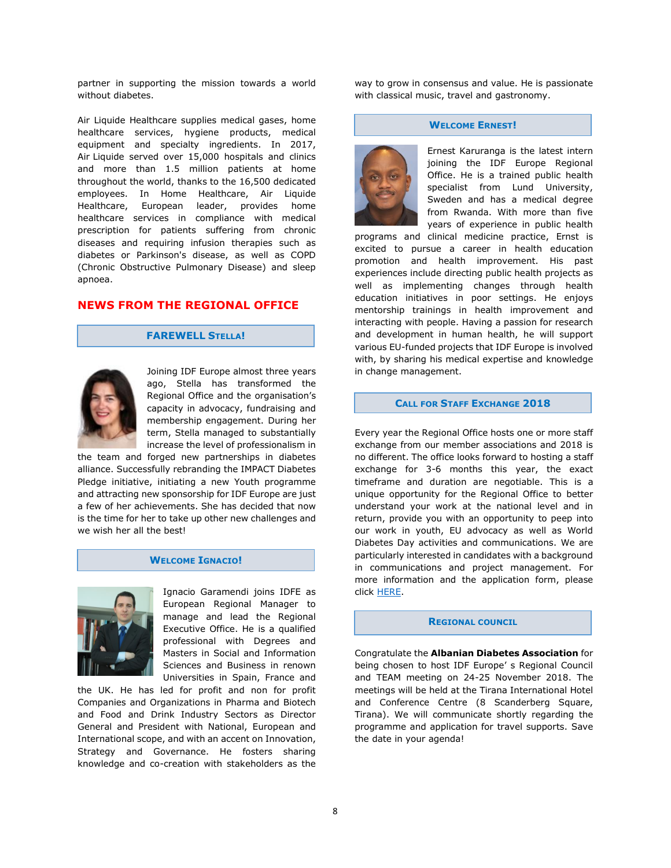partner in supporting the mission towards a world without diabetes.

Air Liquide Healthcare supplies medical gases, home healthcare services, hygiene products, medical equipment and specialty ingredients. In 2017, Air Liquide served over 15,000 hospitals and clinics and more than 1.5 million patients at home throughout the world, thanks to the 16,500 dedicated employees. In Home Healthcare, Air Liquide Healthcare, European leader, provides home healthcare services in compliance with medical prescription for patients suffering from chronic diseases and requiring infusion therapies such as diabetes or Parkinson's disease, as well as COPD (Chronic Obstructive Pulmonary Disease) and sleep apnoea.

# **NEWS FROM THE REGIONAL OFFICE**

#### **FAREWELL STELLA!**



Joining IDF Europe almost three years ago, Stella has transformed the Regional Office and the organisation's capacity in advocacy, fundraising and membership engagement. During her term, Stella managed to substantially increase the level of professionalism in

the team and forged new partnerships in diabetes alliance. Successfully rebranding the IMPACT Diabetes Pledge initiative, initiating a new Youth programme and attracting new sponsorship for IDF Europe are just a few of her achievements. She has decided that now is the time for her to take up other new challenges and we wish her all the best!

#### **WELCOME IGNACIO!**



Ignacio Garamendi joins IDFE as European Regional Manager to manage and lead the Regional Executive Office. He is a qualified professional with Degrees and Masters in Social and Information Sciences and Business in renown Universities in Spain, France and

the UK. He has led for profit and non for profit Companies and Organizations in Pharma and Biotech and Food and Drink Industry Sectors as Director General and President with National, European and International scope, and with an accent on Innovation, Strategy and Governance. He fosters sharing knowledge and co-creation with stakeholders as the

way to grow in consensus and value. He is passionate with classical music, travel and gastronomy.

#### **WELCOME ERNEST!**



Ernest Karuranga is the latest intern joining the IDF Europe Regional Office. He is a trained public health specialist from Lund University, Sweden and has a medical degree from Rwanda. With more than five years of experience in public health

programs and clinical medicine practice, Ernst is excited to pursue a career in health education promotion and health improvement. His past experiences include directing public health projects as well as implementing changes through health education initiatives in poor settings. He enjoys mentorship trainings in health improvement and interacting with people. Having a passion for research and development in human health, he will support various EU-funded projects that IDF Europe is involved with, by sharing his medical expertise and knowledge in change management.

#### **CALL FOR STAFF EXCHANGE 2018**

Every year the Regional Office hosts one or more staff exchange from our member associations and 2018 is no different. The office looks forward to hosting a staff exchange for 3-6 months this year, the exact timeframe and duration are negotiable. This is a unique opportunity for the Regional Office to better understand your work at the national level and in return, provide you with an opportunity to peep into our work in youth, EU advocacy as well as World Diabetes Day activities and communications. We are particularly interested in candidates with a background in communications and project management. For more information and the application form, please click [HERE.](https://www.idf.org/our-network/regions-members/europe/about-us/staff-exchange-programme.html)

#### **REGIONAL COUNCIL**

Congratulate the **Albanian Diabetes Association** for being chosen to host IDF Europe' s Regional Council and TEAM meeting on 24-25 November 2018. The meetings will be held at the Tirana International Hotel and Conference Centre (8 Scanderberg Square, Tirana). We will communicate shortly regarding the programme and application for travel supports. Save the date in your agenda!